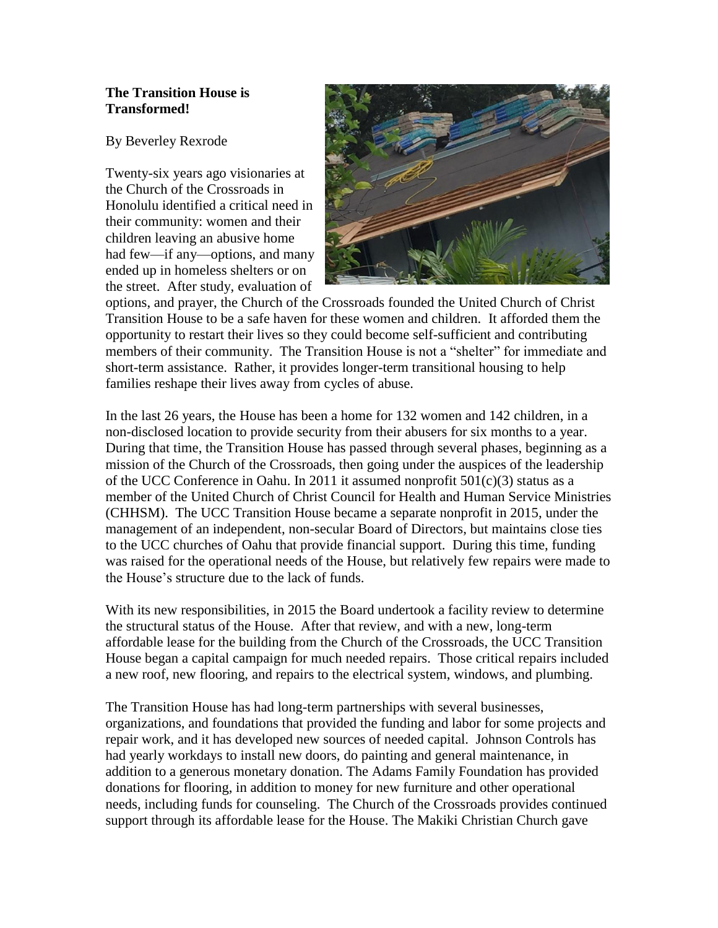## **The Transition House is Transformed!**

By Beverley Rexrode

Twenty-six years ago visionaries at the Church of the Crossroads in Honolulu identified a critical need in their community: women and their children leaving an abusive home had few—if any—options, and many ended up in homeless shelters or on the street. After study, evaluation of



options, and prayer, the Church of the Crossroads founded the United Church of Christ Transition House to be a safe haven for these women and children. It afforded them the opportunity to restart their lives so they could become self-sufficient and contributing members of their community. The Transition House is not a "shelter" for immediate and short-term assistance. Rather, it provides longer-term transitional housing to help families reshape their lives away from cycles of abuse.

In the last 26 years, the House has been a home for 132 women and 142 children, in a non-disclosed location to provide security from their abusers for six months to a year. During that time, the Transition House has passed through several phases, beginning as a mission of the Church of the Crossroads, then going under the auspices of the leadership of the UCC Conference in Oahu. In 2011 it assumed nonprofit  $501(c)(3)$  status as a member of the United Church of Christ Council for Health and Human Service Ministries (CHHSM). The UCC Transition House became a separate nonprofit in 2015, under the management of an independent, non-secular Board of Directors, but maintains close ties to the UCC churches of Oahu that provide financial support. During this time, funding was raised for the operational needs of the House, but relatively few repairs were made to the House's structure due to the lack of funds.

With its new responsibilities, in 2015 the Board undertook a facility review to determine the structural status of the House. After that review, and with a new, long-term affordable lease for the building from the Church of the Crossroads, the UCC Transition House began a capital campaign for much needed repairs. Those critical repairs included a new roof, new flooring, and repairs to the electrical system, windows, and plumbing.

The Transition House has had long-term partnerships with several businesses, organizations, and foundations that provided the funding and labor for some projects and repair work, and it has developed new sources of needed capital. Johnson Controls has had yearly workdays to install new doors, do painting and general maintenance, in addition to a generous monetary donation. The Adams Family Foundation has provided donations for flooring, in addition to money for new furniture and other operational needs, including funds for counseling. The Church of the Crossroads provides continued support through its affordable lease for the House. The Makiki Christian Church gave